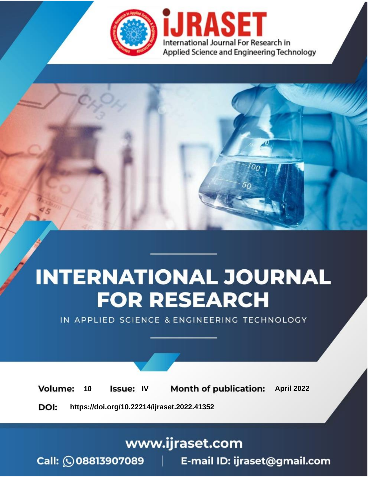

# **INTERNATIONAL JOURNAL FOR RESEARCH**

IN APPLIED SCIENCE & ENGINEERING TECHNOLOGY

10 **Issue: IV Month of publication:** April 2022 **Volume:** 

**https://doi.org/10.22214/ijraset.2022.41352**DOI:

www.ijraset.com

Call: 008813907089 | E-mail ID: ijraset@gmail.com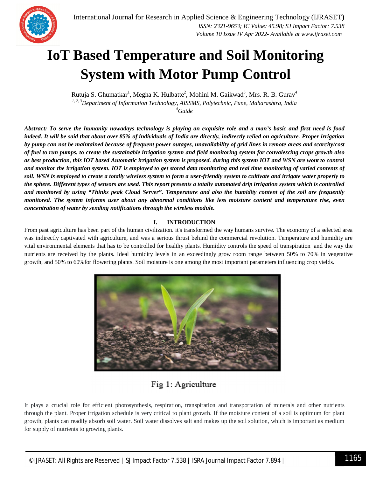

### **IoT Based Temperature and Soil Monitoring System with Motor Pump Control**

Rutuja S. Ghumatkar<sup>1</sup>, Megha K. Hulbatte<sup>2</sup>, Mohini M. Gaikwad<sup>3</sup>, Mrs. R. B. Gurav<sup>4</sup> *1, 2, 3Department of Information Technology, AISSMS, Polytechnic, Pune, Maharashtra, India <sup>4</sup>Guide*

*Abstract: To serve the humanity nowadays technology is playing an exquisite role and a man's basic and first need is food indeed. It will be said that about over 85% of individuals of India are directly, indirectly relied on agriculture. Proper irrigation by pump can not be maintained because of frequent power outages, unavailability of grid lines in remote areas and scarcity/cost of fuel to run pumps. to create the sustainable irrigation system and field monitoring system for convalescing crops growth also as best production, this IOT based Automatic irrigation system is proposed. during this system IOT and WSN are wont to control and monitor the irrigation system. IOT is employed to get stored data monitoring and real time monitoring of varied contents of soil. WSN is employed to create a totally wireless system to form a user-friendly system to cultivate and irrigate water properly to the sphere. Different types of sensors are used. This report presents a totally automated drip irrigation system which is controlled and monitored by using "Thinks peak Cloud Server". Temperature and also the humidity content of the soil are frequently monitored. The system informs user about any abnormal conditions like less moisture content and temperature rise, even concentration of water by sending notifications through the wireless module.*

#### **I. INTRODUCTION**

From past agriculture has been part of the human civilization. it's transformed the way humans survive. The economy of a selected area was indirectly captivated with agriculture, and was a serious thrust behind the commercial revolution. Temperature and humidity are vital environmental elements that has to be controlled for healthy plants. Humidity controls the speed of transpiration and the way the nutrients are received by the plants. Ideal humidity levels in an exceedingly grow room range between 50% to 70% in vegetative growth, and 50% to 60%for flowering plants. Soil moisture is one among the most important parameters influencing crop yields.



### Fig 1: Agriculture

It plays a crucial role for efficient photosynthesis, respiration, transpiration and transportation of minerals and other nutrients through the plant. Proper irrigation schedule is very critical to plant growth. If the moisture content of a soil is optimum for plant growth, plants can readily absorb soil water. Soil water dissolves salt and makes up the soil solution, which is important as medium for supply of nutrients to growing plants.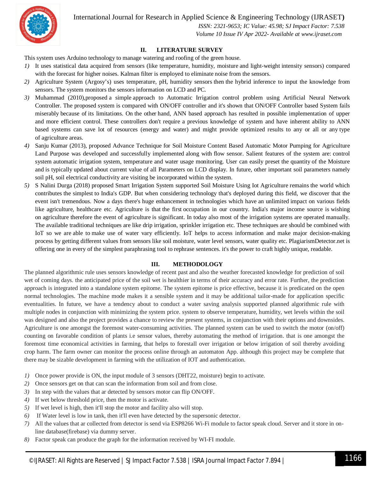

International Journal for Research in Applied Science & Engineering Technology (IJRASET**)**

 *ISSN: 2321-9653; IC Value: 45.98; SJ Impact Factor: 7.538 Volume 10 Issue IV Apr 2022- Available at www.ijraset.com*

#### **II. LITERATURE SURVEY**

This system uses Arduino technology to manage watering and roofing of the green house.

- *1)* It uses statistical data acquired from sensors (like temperature, humidity, moisture and light-weight intensity sensors) compared with the forecast for higher noises. Kalman filter is employed to eliminate noise from the sensors.
- *2)* Agriculture System (Argosy's) uses temperature, pH, humidity sensors then the hybrid inference to input the knowledge from sensors. The system monitors the sensors information on LCD and PC.
- *3)* Muhammad (2010),proposed a simple approach to Automatic Irrigation control problem using Artificial Neural Network Controller. The proposed system is compared with ON/OFF controller and it's shown that ON/OFF Controller based System fails miserably because of its limitations. On the other hand, ANN based approach has resulted in possible implementation of upper and more efficient control. These controllers don't require a previous knowledge of system and have inherent ability to ANN based systems can save lot of resources (energy and water) and might provide optimized results to any or all or any type of agriculture areas.
- *4)* Sanju Kumar (2013), proposed Advance Technique for Soil Moisture Content Based Automatic Motor Pumping for Agriculture Land Purpose was developed and successfully implemented along with flow sensor. Salient features of the system are: control system automatic irrigation system, temperature and water usage monitoring. User can easily preset the quantity of the Moisture and is typically updated about current value of all Parameters on LCD display. In future, other important soil parameters namely soil pH, soil electrical conductivity are visiting be incorporated within the system.
- *5)* S Nalini Durga (2018) proposed Smart Irrigation System supported Soil Moisture Using Iot Agriculture remains the world which contributes the simplest to India's GDP. But when considering technology that's deployed during this field, we discover that the event isn't tremendous. Now a days there's huge enhancement in technologies which have an unlimited impact on various fields like agriculture, healthcare etc. Agriculture is that the first occupation in our country. India's major income source is wishing on agriculture therefore the event of agriculture is significant. In today also most of the irrigation systems are operated manually. The available traditional techniques are like drip irrigation, sprinkler irrigation etc. These techniques are should be combined with IoT so we are able to make use of water vary efficiently. IoT helps to access information and make major decision-making process by getting different values from sensors like soil moisture, water level sensors, water quality etc. PlagiarismDetector.net is offering one in every of the simplest paraphrasing tool to rephrase sentences. it's the power to craft highly unique, readable.

#### **III. METHODOLOGY**

The planned algorithmic rule uses sensors knowledge of recent past and also the weather forecasted knowledge for prediction of soil wet of coming days. the anticipated price of the soil wet is healthier in terms of their accuracy and error rate. Further, the prediction approach is integrated into a standalone system epitome. The system epitome is price effective, because it is predicated on the open normal technologies. The machine mode makes it a sensible system and it may be additional tailor-made for application specific eventualities. In future, we have a tendency about to conduct a water saving analysis supported planned algorithmic rule with multiple nodes in conjunction with minimizing the system price. system to observe temperature, humidity, wet levels within the soil was designed and also the project provides a chance to review the present systems, in conjunction with their options and downsides. Agriculture is one amongst the foremost water-consuming activities. The planned system can be used to switch the motor (on/off) counting on favorable condition of plants i.e sensor values, thereby automating the method of irrigation. that is one amongst the foremost time economical activities in farming, that helps to forestall over irrigation or below irrigation of soil thereby avoiding crop harm. The farm owner can monitor the process online through an automaton App. although this project may be complete that there may be sizable development in farming with the utilization of IOT and authentication.

- *1*) Once power provide is ON, the input module of 3 sensors (DHT22, moisture) begin to activate.
- *2)* Once sensors get on that can scan the information from soil and from close.
- *3)* In step with the values that ar detected by sensors motor can flip ON/OFF.
- *4)* If wet below threshold price, then the motor is activate.
- *5)* If wet level is high, then it'll stop the motor and facility also will stop.
- *6)* If Water level is low in tank, then it'll even have detected by the supersonic detector.
- *7)* All the values that ar collected from detector is send via ESP8266 Wi-Fi module to factor speak cloud. Server and it store in online database(firebase) via dummy server.
- *8)* Factor speak can produce the graph for the information received by WI-FI module.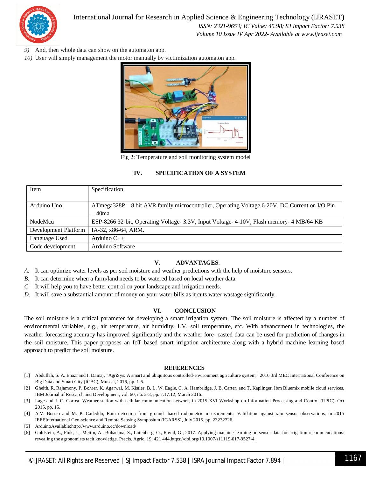

#### International Journal for Research in Applied Science & Engineering Technology (IJRASET**)**

 *ISSN: 2321-9653; IC Value: 45.98; SJ Impact Factor: 7.538 Volume 10 Issue IV Apr 2022- Available at www.ijraset.com*

- *9)* And, then whole data can show on the automaton app.
- *10)* User will simply management the motor manually by victimization automaton app.



Fig 2: Temperature and soil monitoring system model

#### **IV. SPECIFICATION OF A SYSTEM**

| Item                 | Specification.                                                                                           |
|----------------------|----------------------------------------------------------------------------------------------------------|
| Arduino Uno          | ATmega328P – 8 bit AVR family microcontroller, Operating Voltage 6-20V, DC Current on I/O Pin<br>$-40ma$ |
| NodeMcu              | ESP-8266 32-bit, Operating Voltage- 3.3V, Input Voltage- 4-10V, Flash memory- 4 MB/64 KB                 |
| Development Platform | IA-32, x86-64, ARM.                                                                                      |
| Language Used        | Arduino $C++$                                                                                            |
| Code development     | Arduino Software                                                                                         |

#### **V. ADVANTAGES**.

- *A.* It can optimize water levels as per soil moisture and weather predictions with the help of moisture sensors.
- *B.* It can determine when a farm/land needs to be watered based on local weather data.
- *C.* It will help you to have better control on your landscape and irrigation needs.
- *D.* It will save a substantial amount of money on your water bills as it cuts water wastage significantly.

#### **VI. CONCLUSION**

The soil moisture is a critical parameter for developing a smart irrigation system. The soil moisture is affected by a number of environmental variables, e.g., air temperature, air humidity, UV, soil temperature, etc. With advancement in technologies, the weather forecasting accuracy has improved significantly and the weather fore- casted data can be used for prediction of changes in the soil moisture. This paper proposes an IoT based smart irrigation architecture along with a hybrid machine learning based approach to predict the soil moisture.

#### **REFERENCES**

- [1] Abdullah, S. A. Enazi and I. Damaj, "AgriSys: A smart and ubiquitous controlled-environment agriculture system," 2016 3rd MEC International Conference on Big Data and Smart City (ICBC), Muscat, 2016, pp. 1-6.
- [2] Gheith, R. Rajamony, P. Bohrer, K. Agarwal, M. Kistler, B. L. W. Eagle, C. A. Hambridge, J. B. Carter, and T. Kaplinger, Ibm Bluemix mobile cloud services, IBM Journal of Research and Development, vol. 60, no. 2-3, pp. 7:17:12, March 2016.
- [3] Lage and J. C. Correa, Weather station with cellular communication network, in 2015 XVI Workshop on Information Processing and Control (RPIC), Oct 2015, pp. 15.
- [4] A.V. Bossio and M. P. Cadeddu, Rain detection from ground- based radiometric measurements: Validation against rain sensor observations, in 2015 IEEEInternational Geo-science and Remote Sensing Symposium (IGARSS), July 2015, pp. 23232326.
- [5] ArduinoAvailable:http://www.arduino.cc/download/
- [6] Goldstein, A., Fink, L., Meitin, A., Bohadana, S., Lutenberg, O., Ravid, G., 2017. Applying machine learning on sensor data for irrigation recommendations: revealing the agronomists tacit knowledge. Precis. Agric. 19, 421 444.https://doi.org/10.1007/s11119-017-9527-4.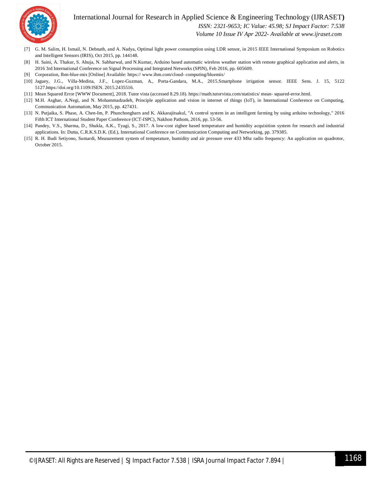#### International Journal for Research in Applied Science & Engineering Technology (IJRASET**)**



 *ISSN: 2321-9653; IC Value: 45.98; SJ Impact Factor: 7.538*

 *Volume 10 Issue IV Apr 2022- Available at www.ijraset.com*

- [7] G. M. Salim, H. Ismail, N. Debnath, and A. Nadya, Optimal light power consumption using LDR sensor, in 2015 IEEE International Symposium on Robotics and Intelligent Sensors (IRIS), Oct 2015, pp. 144148.
- [8] H. Saini, A. Thakur, S. Ahuja, N. Sabharwal, and N.Kumar, Arduino based automatic wireless weather station with remote graphical application and alerts, in 2016 3rd International Conference on Signal Processing and Integrated Networks (SPIN), Feb 2016, pp. 605609.
- [9] Corporation, Ibm-blue-mix [Online] Available: https:// www.ibm.com/cloud- computing/bluemix/
- [10] Jaguey, J.G., Villa-Medina, J.F., Lopez-Guzman, A., Porta-Gandara, M.A., 2015.Smartphone irrigation sensor. IEEE Sens. J. 15, 5122 5127.https://doi.org/10.1109/JSEN. 2015.2435516.
- [11] Mean Squared Error [WWW Document], 2018. Tutor vista (accessed 8.29.18). https://math.tutorvista.com/statistics/ mean- squared-error.html.
- [12] M.H. Asghar, A.Negi, and N. Mohammadzadeh, Principle application and vision in internet of things (IoT), in International Conference on Computing, Communication Automation, May 2015, pp. 427431.
- [13] N. Putjaika, S. Phase, A. Chen-Im, P. Phunchongharn and K. Akkarajitsakul, "A control system in an intelligent farming by using arduino technology," 2016 Fifth ICT International Student Paper Conference (ICT-ISPC), Nakhon Pathom, 2016, pp. 53-56.
- [14] Pandey, V.S., Sharma, D., Shukla, A.K., Tyagi, S., 2017. A low-cost zigbee based temperature and humidity acquisition system for research and industrial applications. In: Dutta, C.R.K.S.D.K. (Ed.), International Conference on Communication Computing and Networking, pp. 379385.
- [15] R. H. Budi Setiyono, Sumardi, Measurement system of temperature, humidity and air pressure over 433 Mhz radio frequency: An application on quadrotor, October 2015.